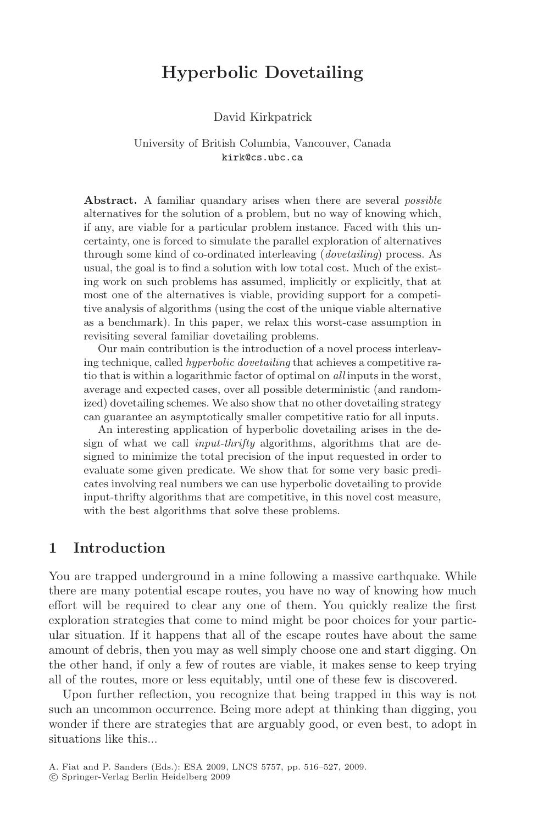# **Hyperbolic Dovetailing**

David Kirkpatrick

University of British Columbia, Vancouver, Canada kirk@cs.ubc.ca

**Abstract.** A familiar quandary arises when there are several *possible* alternatives for the solution of a problem, but no way of knowing which, if any, are viable for a particular problem instance. Faced with this uncertainty, one is forced to simulate the parallel exploration of alternatives through some kind of co-ordinated interleaving (*dovetailing*) process. As usual, the goal is to find a solution with low total cost. Much of the existing work on such problems has assumed, implicitly or explicitly, that at most one of the alternatives is viable, providing support for a competitive analysis of algorithms (using the cost of the unique viable alternative as a benchmark). In this paper, we relax this worst-case assumption in revisiting several familiar dovetailing problems.

Our main contribution is the introduction of a novel process interleaving technique, called *hyperbolic dovetailing* that achieves a competitive ratio that is within a logarithmic factor of optimal on *all* inputs in the worst, average and expected cases, over all possible deterministic (and randomized) dovetailing schemes. We also show that no other dovetailing strategy can guarantee an asymptotically smaller competitive ratio for all inputs.

An interesting application of hyperbolic dovetailing arises in the design of what we call *input-thrifty* algorithms, algorithms that are designed to minimize the total precision of the input requested in order to evaluate some given predicate. We show that for some very basic predicates involving real numbers we can use hyperbolic dovetailing to provide input-thrifty algorithms that are competitive, in this novel cost measure, with the best algorithms that solve these problems.

### **1 Introduction**

You are trapped underground in a mine following a massive earthquake. While there are many potential escape routes, you have no way of knowing how much effort will be required to clear any one of them. You quickly realize the first exploration strategies that come to mind might be poor choices for your particular situation. If it happens that all of the escape routes have about the same amount of debris, then you may as well simply choose one and start digging. On the other hand, if only a few of routes are viable, it makes sense to keep trying all of the routes, more or less equitably, until one of these few is discovered.

Upon further reflection, you recognize that being trapped in this way is not such an uncommon occurrence. Being more adept at thinking than digging, you wonder if there are strategies that are arguably good, or even best, to adopt in situations like this...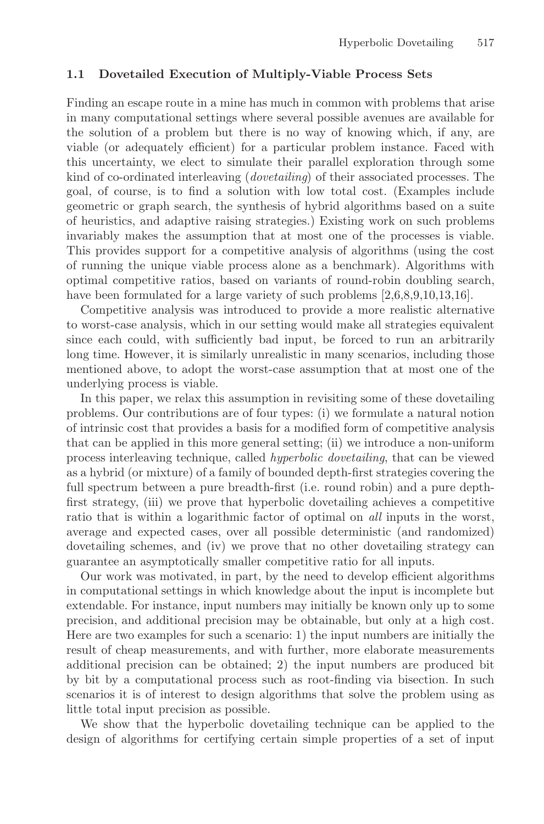#### **1.1 Dovetailed Execution of Multiply-Viable Process Sets**

Finding an escape route in a mine has much in common with problems that arise in many computational settings where several possible avenues are available for the solution of a problem but there is no way of knowing which, if any, are viable (or adequately efficient) for a particular problem instance. Faced with this uncertainty, we elect to simulate their parallel exploration through some kind of co-ordinated interleaving (dovetailing) of their associated processes. The goal, of course, is to find a solution with low total cost. (Examples include geometric or graph search, the synthesis of hybrid algorithms based on a suite of heuristics, and adaptive raising strategies.) Existing work on such problems invariably makes the assumption that at most one of the processes is viable. This provides support for a competitive analysis of algorithms (using the cost of running the unique viable process alone as a benchmark). Algorithms with optimal competitive ratios, based on variants of round-robin doubling search, have been formulated for a large variety of such problems  $[2,6,8,9,10,13,16]$ .

Competitive analysis was introduced to provide a more realistic alternative to worst-case analysis, which in our setting would make all strategies equivalent since each could, with sufficiently bad input, be forced to run an arbitrarily long time. However, it is similarly unrealistic in many scenarios, including those mentioned above, to adopt the worst-case assumption that at most one of the underlying process is viable.

In this paper, we relax this assumption in revisiting some of these dovetailing problems. Our contributions are of four types: (i) we formulate a natural notion of intrinsic cost that provides a basis for a modified form of competitive analysis that can be applied in this more general setting; (ii) we introduce a non-uniform process interleaving technique, called hyperbolic dovetailing, that can be viewed as a hybrid (or mixture) of a family of bounded depth-first strategies covering the full spectrum between a pure breadth-first (i.e. round robin) and a pure depthfirst strategy, (iii) we prove that hyperbolic dovetailing achieves a competitive ratio that is within a logarithmic factor of optimal on all inputs in the worst, average and expected cases, over all possible deterministic (and randomized) dovetailing schemes, and (iv) we prove that no other dovetailing strategy can guarantee an asymptotically smaller competitive ratio for all inputs.

Our work was motivated, in part, by the need to develop efficient algorithms in computational settings in which knowledge about the input is incomplete but extendable. For instance, input numbers may initially be known only up to some precision, and additional precision may be obtainable, but only at a high cost. Here are two examples for such a scenario: 1) the input numbers are initially the result of cheap measurements, and with further, more elaborate measurements additional precision can be obtained; 2) the input numbers are produced bit by bit by a computational process such as root-finding via bisection. In such scenarios it is of interest to design algorithms that solve the problem using as little total input precision as possible.

We show that the hyperbolic dovetailing technique can be applied to the design of algorithms for certifying certain simple properties of a set of input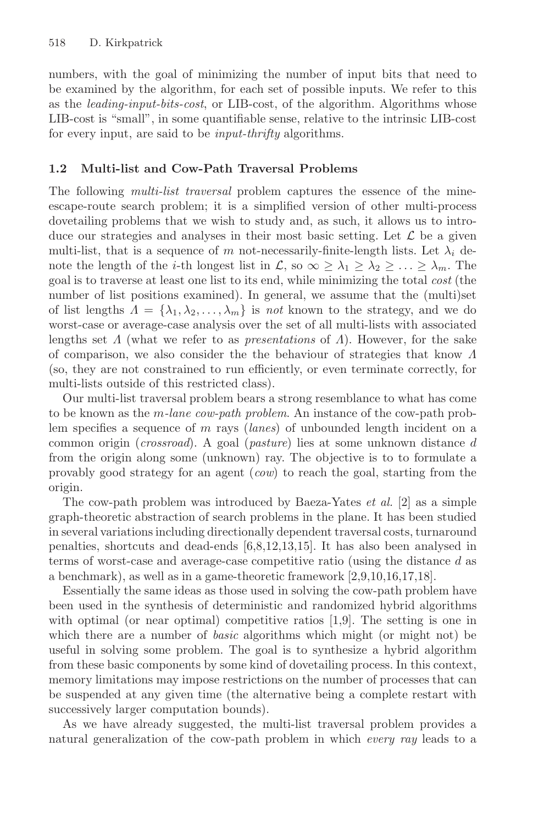numbers, with the goal of minimizing the number of input bits that need to be examined by the algorithm, for each set of possible inputs. We refer to this as the *leading-input-bits-cost*, or LIB-cost, of the algorithm. Algorithms whose LIB-cost is "small", in some quantifiable sense, relative to the intrinsic LIB-cost for every input, are said to be *input-thrifty* algorithms.

#### **1.2 Multi-list and Cow-Path Traversal Problems**

The following *multi-list traversal* problem captures the essence of the mineescape-route search problem; it is a simplified version of other multi-process dovetailing problems that we wish to study and, as such, it allows us to introduce our strategies and analyses in their most basic setting. Let  $\mathcal L$  be a given multi-list, that is a sequence of m not-necessarily-finite-length lists. Let  $\lambda_i$  denote the length of the *i*-th longest list in  $\mathcal{L}$ , so  $\infty \geq \lambda_1 \geq \lambda_2 \geq \ldots \geq \lambda_m$ . The goal is to traverse at least one list to its end, while minimizing the total cost (the number of list positions examined). In general, we assume that the (multi)set of list lengths  $\Lambda = {\lambda_1, \lambda_2, ..., \lambda_m}$  is not known to the strategy, and we do worst-case or average-case analysis over the set of all multi-lists with associated lengths set  $\Lambda$  (what we refer to as *presentations* of  $\Lambda$ ). However, for the sake of comparison, we also consider the the behaviour of strategies that know Λ (so, they are not constrained to run efficiently, or even terminate correctly, for multi-lists outside of this restricted class).

Our multi-list traversal problem bears a strong resemblance to what has come to be known as the m-lane cow-path problem. An instance of the cow-path problem specifies a sequence of m rays (lanes) of unbounded length incident on a common origin (crossroad). A goal (pasture) lies at some unknown distance d from the origin along some (unknown) ray. The objective is to to formulate a provably good strategy for an agent (cow) to reach the goal, starting from the origin.

The cow-path problem was introduced by Baeza-Yates et al. [2] as a simple graph-theoretic abstraction of search problems in the plane. It has been studied in several variations including directionally dependent traversal costs, turnaround penalties, shortcuts and dead-ends [6,8,12,13,15]. It has also been analysed in terms of worst-case and average-case competitive ratio (using the distance d as a benchmark), as well as in a game-theoretic framework [2,9,10,16,17,18].

Essentially the same ideas as those used in solving the cow-path problem have been used in the synthesis of deterministic and randomized hybrid algorithms with optimal (or near optimal) competitive ratios [1,9]. The setting is one in which there are a number of *basic* algorithms which might (or might not) be useful in solving some problem. The goal is to synthesize a hybrid algorithm from these basic components by some kind of dovetailing process. In this context, memory limitations may impose restrictions on the number of processes that can be suspended at any given time (the alternative being a complete restart with successively larger computation bounds).

As we have already suggested, the multi-list traversal problem provides a natural generalization of the cow-path problem in which every ray leads to a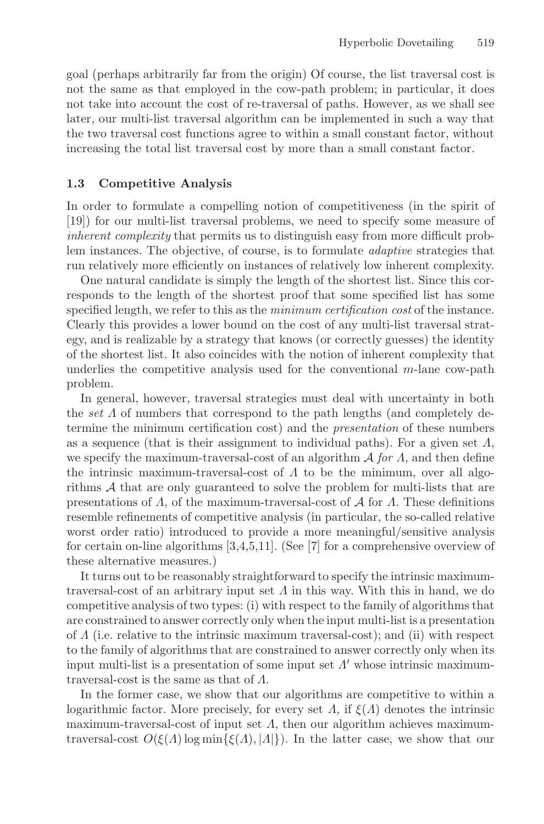goal (perhaps arbitrarily far from the origin) Of course, the list traversal cost is not the same as that employed in the cow-path problem; in particular, it does not take into account the cost of re-traversal of paths. However, as we shall see later, our multi-list traversal algorithm can be implemented in such a way that the two traversal cost functions agree to within a small constant factor, without increasing the total list traversal cost by more than a small constant factor.

#### **1.3 Competitive Analysis**

In order to formulate a compelling notion of competitiveness (in the spirit of [19]) for our multi-list traversal problems, we need to specify some measure of inherent complexity that permits us to distinguish easy from more difficult problem instances. The objective, of course, is to formulate adaptive strategies that run relatively more efficiently on instances of relatively low inherent complexity.

One natural candidate is simply the length of the shortest list. Since this corresponds to the length of the shortest proof that some specified list has some specified length, we refer to this as the *minimum certification cost* of the instance. Clearly this provides a lower bound on the cost of any multi-list traversal strategy, and is realizable by a strategy that knows (or correctly guesses) the identity of the shortest list. It also coincides with the notion of inherent complexity that underlies the competitive analysis used for the conventional  $m$ -lane cow-path problem.

In general, however, traversal strategies must deal with uncertainty in both the set  $\Lambda$  of numbers that correspond to the path lengths (and completely determine the minimum certification cost) and the presentation of these numbers as a sequence (that is their assignment to individual paths). For a given set  $\Lambda$ , we specify the maximum-traversal-cost of an algorithm  $A$  for  $\Lambda$ , and then define the intrinsic maximum-traversal-cost of  $\Lambda$  to be the minimum, over all algorithms A that are only guaranteed to solve the problem for multi-lists that are presentations of  $\Lambda$ , of the maximum-traversal-cost of  $\mathcal A$  for  $\Lambda$ . These definitions resemble refinements of competitive analysis (in particular, the so-called relative worst order ratio) introduced to provide a more meaningful/sensitive analysis for certain on-line algorithms [3,4,5,11]. (See [7] for a comprehensive overview of these alternative measures.)

It turns out to be reasonably straightforward to specify the intrinsic maximumtraversal-cost of an arbitrary input set  $\Lambda$  in this way. With this in hand, we do competitive analysis of two types: (i) with respect to the family of algorithms that are constrained to answer correctly only when the input multi-list is a presentation of  $\Lambda$  (i.e. relative to the intrinsic maximum traversal-cost); and (ii) with respect to the family of algorithms that are constrained to answer correctly only when its input multi-list is a presentation of some input set  $\Lambda'$  whose intrinsic maximumtraversal-cost is the same as that of Λ.

In the former case, we show that our algorithms are competitive to within a logarithmic factor. More precisely, for every set  $\Lambda$ , if  $\xi(\Lambda)$  denotes the intrinsic maximum-traversal-cost of input set  $\Lambda$ , then our algorithm achieves maximumtraversal-cost  $O(\xi(\Lambda) \log \min{\{\xi(\Lambda),|\Lambda|\}})$ . In the latter case, we show that our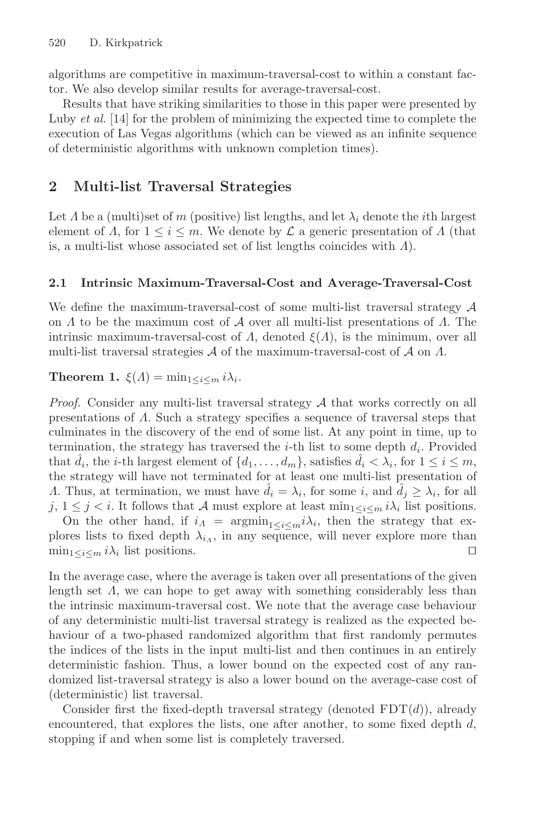algorithms are competitive in maximum-traversal-cost to within a constant factor. We also develop similar results for average-traversal-cost.

Results that have striking similarities to those in this paper were presented by Luby et al. [14] for the problem of minimizing the expected time to complete the execution of Las Vegas algorithms (which can be viewed as an infinite sequence of deterministic algorithms with unknown completion times).

# **2 Multi-list Traversal Strategies**

Let  $\Lambda$  be a (multi)set of m (positive) list lengths, and let  $\lambda_i$  denote the *i*th largest element of  $\Lambda$ , for  $1 \leq i \leq m$ . We denote by  $\mathcal L$  a generic presentation of  $\Lambda$  (that is, a multi-list whose associated set of list lengths coincides with  $\Lambda$ ).

### **2.1 Intrinsic Maximum-Traversal-Cost and Average-Traversal-Cost**

We define the maximum-traversal-cost of some multi-list traversal strategy  $\mathcal A$ on  $\Lambda$  to be the maximum cost of  $\mathcal A$  over all multi-list presentations of  $\Lambda$ . The intrinsic maximum-traversal-cost of  $\Lambda$ , denoted  $\xi(\Lambda)$ , is the minimum, over all multi-list traversal strategies  $A$  of the maximum-traversal-cost of  $A$  on  $\Lambda$ .

**Theorem 1.**  $\xi(\Lambda) = \min_{1 \leq i \leq m} i \lambda_i$ .

*Proof.* Consider any multi-list traversal strategy  $A$  that works correctly on all presentations of Λ. Such a strategy specifies a sequence of traversal steps that culminates in the discovery of the end of some list. At any point in time, up to termination, the strategy has traversed the *i*-th list to some depth  $d_i$ . Provided that  $\hat{d}_i$ , the *i*-th largest element of  $\{d_1, \ldots, d_m\}$ , satisfies  $\hat{d}_i < \lambda_i$ , for  $1 \leq i \leq m$ , the strategy will have not terminated for at least one multi-list presentation of A. Thus, at termination, we must have  $\hat{d}_i = \lambda_i$ , for some i, and  $\hat{d}_j \geq \lambda_i$ , for all j,  $1 \leq j < i$ . It follows that A must explore at least  $\min_{1 \leq i \leq m} i \lambda_i$  list positions.

On the other hand, if  $i_A = \text{argmin}_{1 \leq i \leq m} i \lambda_i$ , then the strategy that explores lists to fixed depth  $\lambda_{i\Lambda}$ , in any sequence, will never explore more than  $\min_{1 \leq i \leq m} i\lambda_i$  list positions.

In the average case, where the average is taken over all presentations of the given length set  $\Lambda$ , we can hope to get away with something considerably less than the intrinsic maximum-traversal cost. We note that the average case behaviour of any deterministic multi-list traversal strategy is realized as the expected behaviour of a two-phased randomized algorithm that first randomly permutes the indices of the lists in the input multi-list and then continues in an entirely deterministic fashion. Thus, a lower bound on the expected cost of any randomized list-traversal strategy is also a lower bound on the average-case cost of (deterministic) list traversal.

Consider first the fixed-depth traversal strategy (denoted  $FDT(d)$ ), already encountered, that explores the lists, one after another, to some fixed depth  $d$ , stopping if and when some list is completely traversed.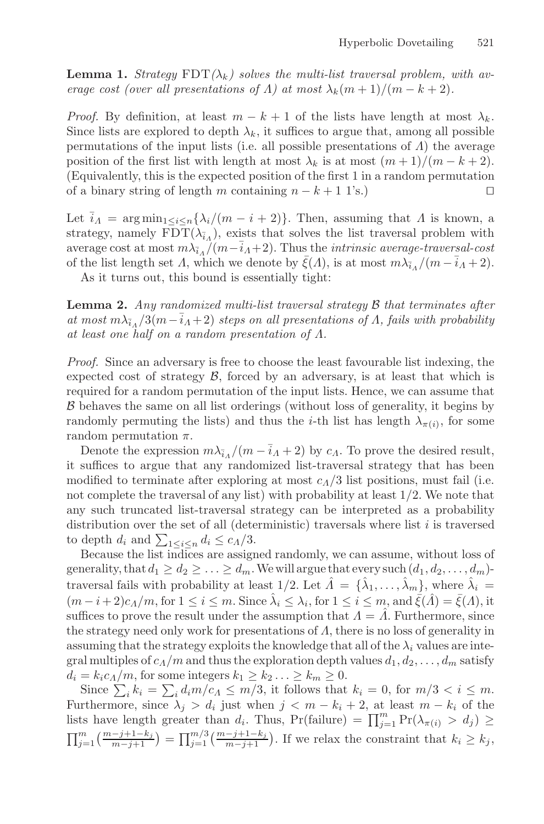**Lemma 1.** Strategy  $FDT(\lambda_k)$  solves the multi-list traversal problem, with average cost (over all presentations of  $\Lambda$ ) at most  $\lambda_k(m+1)/(m-k+2)$ .

*Proof.* By definition, at least  $m - k + 1$  of the lists have length at most  $\lambda_k$ . Since lists are explored to depth  $\lambda_k$ , it suffices to argue that, among all possible permutations of the input lists (i.e. all possible presentations of  $\Lambda$ ) the average position of the first list with length at most  $\lambda_k$  is at most  $(m+1)/(m-k+2)$ . (Equivalently, this is the expected position of the first 1 in a random permutation of a binary string of length m containing  $n - k + 1$  1's.) □

Let  $\bar{i}_A = \arg \min_{1 \le i \le n} {\lambda_i / (m - i + 2)}$ . Then, assuming that  $\Lambda$  is known, a strategy, namely  $FDT(\lambda_{\bar{i}_A})$ , exists that solves the list traversal problem with average cost at most  $m\lambda_{\bar{i}_A}/(m-\bar{i}_A+2)$ . Thus the *intrinsic average-traversal-cost* of the list length set  $\Lambda$ , which we denote by  $\bar{\xi}(\Lambda)$ , is at most  $m\lambda_{\bar{i}\Lambda}/(m-\bar{i}\Lambda+2)$ .

As it turns out, this bound is essentially tight:

**Lemma 2.** Any randomized multi-list traversal strategy B that terminates after at most  $m\lambda_{\bar{i}_A}/3(m-\bar{i}_A+2)$  steps on all presentations of  $\Lambda$ , fails with probability at least one half on a random presentation of  $\Lambda$ .

Proof. Since an adversary is free to choose the least favourable list indexing, the expected cost of strategy  $\beta$ , forced by an adversary, is at least that which is required for a random permutation of the input lists. Hence, we can assume that  $\beta$  behaves the same on all list orderings (without loss of generality, it begins by randomly permuting the lists) and thus the *i*-th list has length  $\lambda_{\pi(i)}$ , for some random permutation  $\pi$ .

Denote the expression  $m\lambda_{\bar{i}_A}/(m - \bar{i}_A + 2)$  by  $c_A$ . To prove the desired result, it suffices to argue that any randomized list-traversal strategy that has been modified to terminate after exploring at most  $c_A/3$  list positions, must fail (i.e. not complete the traversal of any list) with probability at least 1/2. We note that any such truncated list-traversal strategy can be interpreted as a probability distribution over the set of all (deterministic) traversals where list  $i$  is traversed to depth  $d_i$  and  $\sum_{1 \leq i \leq n} d_i \leq c_{\Lambda}/3$ .

Because the list indices are assigned randomly, we can assume, without loss of generality, that  $d_1 \geq d_2 \geq \ldots \geq d_m$ . We will argue that every such  $(d_1, d_2, \ldots, d_m)$ traversal fails with probability at least 1/2. Let  $\hat{\Lambda} = {\hat{\lambda}_1, \ldots, \hat{\lambda}_m}$ , where  $\hat{\lambda}_i =$  $(m-i+2)c_A/m$ , for  $1 \leq i \leq m$ . Since  $\hat{\lambda}_i \leq \lambda_i$ , for  $1 \leq i \leq m$ , and  $\bar{\xi}(\hat{\Lambda}) = \bar{\xi}(\Lambda)$ , it suffices to prove the result under the assumption that  $\Lambda = \Lambda$ . Furthermore, since the strategy need only work for presentations of  $\Lambda$ , there is no loss of generality in assuming that the strategy exploits the knowledge that all of the  $\lambda_i$  values are integral multiples of  $c_A/m$  and thus the exploration depth values  $d_1, d_2, \ldots, d_m$  satisfy  $d_i = k_i c_A/m$ , for some integers  $k_1 \geq k_2 ... \geq k_m \geq 0$ .

Since  $\sum_i k_i = \sum_i d_i m/c_A \leq m/3$ , it follows that  $k_i = 0$ , for  $m/3 < i \leq m$ . Furthermore, since  $\lambda_j > d_i$  just when  $j < m - k_i + 2$ , at least  $m - k_i$  of the lists have length greater than  $d_i$ . Thus, Pr(failure) =  $\prod_{j=1}^m \Pr(\lambda_{\pi(i)} > d_j)$  ≥  $\prod_{j=1}^m \left( \frac{m-j+1-k_j}{m-j+1} \right) = \prod_{j=1}^{m/3} \left( \frac{m-j+1-k_j}{m-j+1} \right)$ . If we relax the constraint that  $k_i \ge k_j$ ,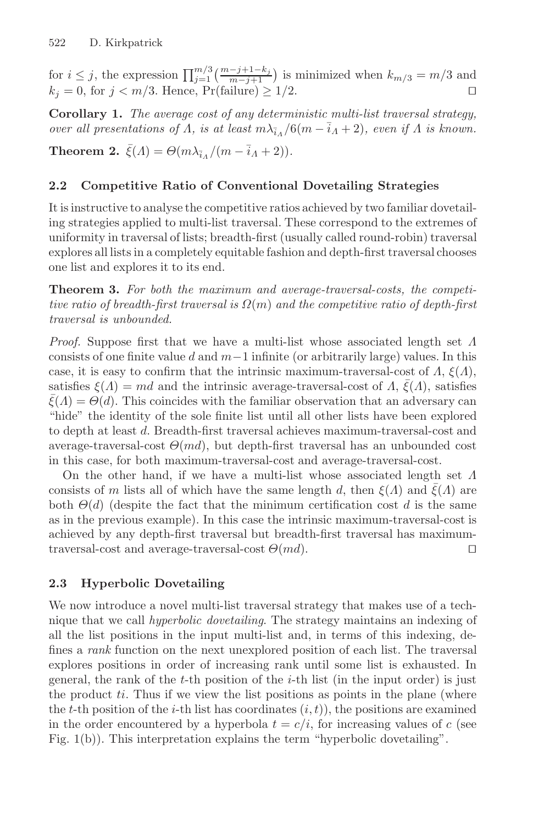for  $i \leq j$ , the expression  $\prod_{j=1}^{m/3} \left( \frac{m-j+1-k_j}{m-j+1} \right)$  is minimized when  $k_{m/3} = m/3$  and  $k_j = 0$ , for  $j < m/3$ . Hence, Pr(failure)  $\geq 1/2$ .

**Corollary 1.** The average cost of any deterministic multi-list traversal strategy, over all presentations of  $\Lambda$ , is at least  $m\lambda_{\bar{i}}/6(m-\bar{i}_A+2)$ , even if  $\Lambda$  is known.

**Theorem 2.**  $\bar{\xi}(A) = \Theta(m\lambda_{\bar{i}_A}/(m - \bar{i}_A + 2)).$ 

#### **2.2 Competitive Ratio of Conventional Dovetailing Strategies**

It is instructive to analyse the competitive ratios achieved by two familiar dovetailing strategies applied to multi-list traversal. These correspond to the extremes of uniformity in traversal of lists; breadth-first (usually called round-robin) traversal explores all lists in a completely equitable fashion and depth-first traversal chooses one list and explores it to its end.

**Theorem 3.** For both the maximum and average-traversal-costs, the competitive ratio of breadth-first traversal is  $\Omega(m)$  and the competitive ratio of depth-first traversal is unbounded.

*Proof.* Suppose first that we have a multi-list whose associated length set  $\Lambda$ consists of one finite value d and  $m-1$  infinite (or arbitrarily large) values. In this case, it is easy to confirm that the intrinsic maximum-traversal-cost of  $\Lambda$ ,  $\xi(\Lambda)$ , satisfies  $\xi(\Lambda) = md$  and the intrinsic average-traversal-cost of  $\Lambda$ ,  $\xi(\Lambda)$ , satisfies  $\overline{\xi}(\Lambda) = \Theta(d)$ . This coincides with the familiar observation that an adversary can "hide" the identity of the sole finite list until all other lists have been explored to depth at least d. Breadth-first traversal achieves maximum-traversal-cost and average-traversal-cost  $\Theta(md)$ , but depth-first traversal has an unbounded cost in this case, for both maximum-traversal-cost and average-traversal-cost.

On the other hand, if we have a multi-list whose associated length set Λ consists of m lists all of which have the same length d, then  $\xi(\Lambda)$  and  $\xi(\Lambda)$  are both  $\Theta(d)$  (despite the fact that the minimum certification cost d is the same as in the previous example). In this case the intrinsic maximum-traversal-cost is achieved by any depth-first traversal but breadth-first traversal has maximumtraversal-cost and average-traversal-cost  $\Theta(md)$ .

### **2.3 Hyperbolic Dovetailing**

We now introduce a novel multi-list traversal strategy that makes use of a technique that we call *hyperbolic dovetailing*. The strategy maintains an indexing of all the list positions in the input multi-list and, in terms of this indexing, defines a *rank* function on the next unexplored position of each list. The traversal explores positions in order of increasing rank until some list is exhausted. In general, the rank of the t-th position of the  $i$ -th list (in the input order) is just the product  $ti$ . Thus if we view the list positions as points in the plane (where the t-th position of the i-th list has coordinates  $(i, t)$ , the positions are examined in the order encountered by a hyperbola  $t = c/i$ , for increasing values of c (see Fig. 1(b)). This interpretation explains the term "hyperbolic dovetailing".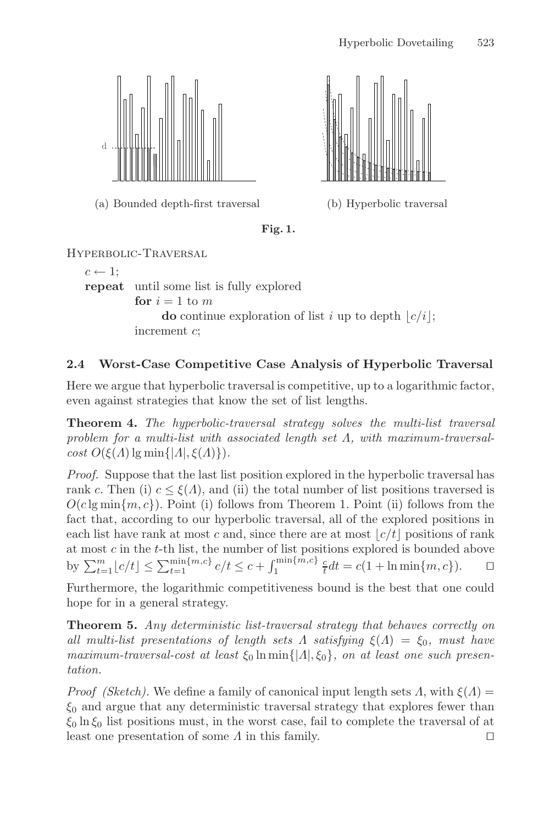





**Fig. 1.**

```
Hyperbolic-Traversal
```

```
c \leftarrow 1:
```
**repeat** until some list is fully explored **for**  $i = 1$  to m **do** continue exploration of list i up to depth  $|c/i|$ ; increment c;

### **2.4 Worst-Case Competitive Case Analysis of Hyperbolic Traversal**

Here we argue that hyperbolic traversal is competitive, up to a logarithmic factor, even against strategies that know the set of list lengths.

**Theorem 4.** The hyperbolic-traversal strategy solves the multi-list traversal problem for a multi-list with associated length set  $\Lambda$ , with maximum-traversalcost  $O(\xi(\Lambda) \lg \min\{|A|, \xi(\Lambda)\})$ .

Proof. Suppose that the last list position explored in the hyperbolic traversal has rank c. Then (i)  $c \leq \xi(\Lambda)$ , and (ii) the total number of list positions traversed is  $O(c \lg \min\{m, c\})$ . Point (i) follows from Theorem 1. Point (ii) follows from the fact that, according to our hyperbolic traversal, all of the explored positions in each list have rank at most c and, since there are at most  $|c/t|$  positions of rank at most c in the t-th list, the number of list positions explored is bounded above by  $\sum_{t=1}^{m} |c/t| \leq \sum_{t=1}^{\min\{m,c\}} c/t \leq c + \int_{1}^{\min\{m,c\}} \frac{c}{t} dt = c(1 + \ln \min\{m, c\}).$ 

Furthermore, the logarithmic competitiveness bound is the best that one could hope for in a general strategy.

**Theorem 5.** Any deterministic list-traversal strategy that behaves correctly on all multi-list presentations of length sets  $\Lambda$  satisfying  $\xi(\Lambda) = \xi_0$ , must have maximum-traversal-cost at least  $\xi_0$  ln min $\{|A|, \xi_0\}$ , on at least one such presentation.

*Proof (Sketch)*. We define a family of canonical input length sets  $\Lambda$ , with  $\xi(\Lambda)$  =  $\xi_0$  and argue that any deterministic traversal strategy that explores fewer than  $\xi_0$  ln  $\xi_0$  list positions must, in the worst case, fail to complete the traversal of at least one presentation of some  $\Lambda$  in this family.  $\square$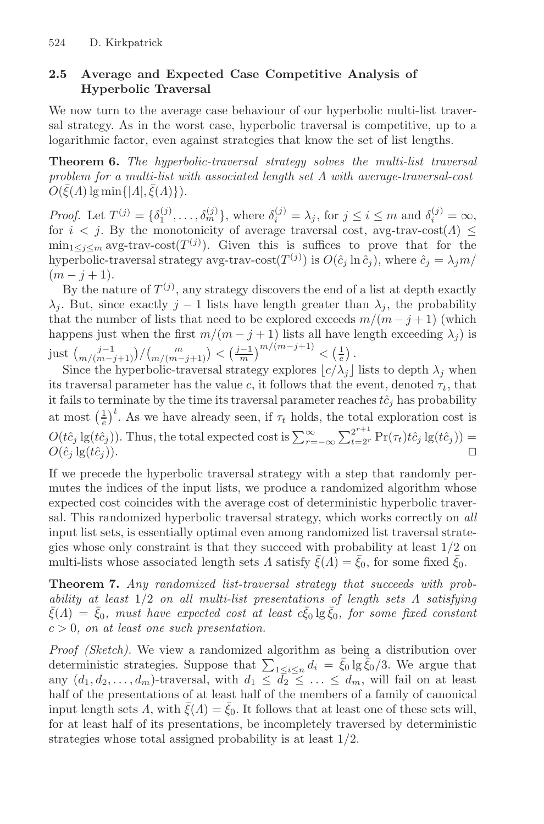#### **2.5 Average and Expected Case Competitive Analysis of Hyperbolic Traversal**

We now turn to the average case behaviour of our hyperbolic multi-list traversal strategy. As in the worst case, hyperbolic traversal is competitive, up to a logarithmic factor, even against strategies that know the set of list lengths.

**Theorem 6.** The hyperbolic-traversal strategy solves the multi-list traversal problem for a multi-list with associated length set  $\Lambda$  with average-traversal-cost  $O(\bar{\xi}(A) \lg \min\{|A|, \bar{\xi}(A)\}).$ 

*Proof.* Let  $T^{(j)} = \{\delta_1^{(j)}, \ldots, \delta_m^{(j)}\}$ , where  $\delta_i^{(j)} = \lambda_j$ , for  $j \le i \le m$  and  $\delta_i^{(j)} = \infty$ , for  $i < j$ . By the monotonicity of average traversal cost, avg-trav-cost( $\Lambda$ )  $\leq$  $\min_{1 \leq j \leq m} \arg\text{-}trav\text{-}cost(T^{(j)})$ . Given this is suffices to prove that for the hyperbolic-traversal strategy avg-trav-cost $(T^{(j)})$  is  $O(\hat{c}_j \ln \hat{c}_j)$ , where  $\hat{c}_j = \lambda_j m/$  $(m - j + 1).$ 

By the nature of  $T^{(j)}$ , any strategy discovers the end of a list at depth exactly  $\lambda_j$ . But, since exactly j − 1 lists have length greater than  $\lambda_j$ , the probability that the number of lists that need to be explored exceeds  $m/(m-j+1)$  (which happens just when the first  $m/(m-j+1)$  lists all have length exceeding  $\lambda_j$ ) is just  $\binom{j-1}{m/(m-j+1)}/\binom{m}{m/(m-j+1)} < \left(\frac{j-1}{m}\right)^{m/(m-j+1)} < \left(\frac{1}{e}\right).$ 

Since the hyperbolic-traversal strategy explores  $\lfloor c/\lambda_j \rfloor$  lists to depth  $\lambda_j$  when its traversal parameter has the value c, it follows that the event, denoted  $\tau_t$ , that it fails to terminate by the time its traversal parameter reaches  $t\hat{c}_j$  has probability at most  $\left(\frac{1}{e}\right)^t$ . As we have already seen, if  $\tau_t$  holds, the total exploration cost is  $O(t\hat{c}_j \lg(t\hat{c}_j))$ . Thus, the total expected cost is  $\sum_{r=-\infty}^{\infty}\sum_{t=2r}^{2^{r+1}} \Pr(\tau_t) t\hat{c}_j \lg(t\hat{c}_j)$  $O(\hat{c}_j \lg(t\hat{c}_j)).$ 

If we precede the hyperbolic traversal strategy with a step that randomly permutes the indices of the input lists, we produce a randomized algorithm whose expected cost coincides with the average cost of deterministic hyperbolic traversal. This randomized hyperbolic traversal strategy, which works correctly on all input list sets, is essentially optimal even among randomized list traversal strategies whose only constraint is that they succeed with probability at least 1/2 on multi-lists whose associated length sets  $\Lambda$  satisfy  $\xi(\Lambda) = \xi_0$ , for some fixed  $\xi_0$ .

**Theorem 7.** Any randomized list-traversal strategy that succeeds with probability at least 1/2 on all multi-list presentations of length sets  $\Lambda$  satisfying  $\bar{\xi}(\Lambda) = \bar{\xi}_0$ , must have expected cost at least  $c\bar{\xi}_0 \lg \bar{\xi}_0$ , for some fixed constant  $c > 0$ , on at least one such presentation.

Proof (Sketch). We view a randomized algorithm as being a distribution over deterministic strategies. Suppose that  $\sum_{1 \leq i \leq n} d_i = \bar{\xi}_0 \lg \bar{\xi}_0/3$ . We argue that any  $(d_1, d_2, \ldots, d_m)$ -traversal, with  $d_1 \leq \overline{d_2} \leq \ldots \leq d_m$ , will fail on at least half of the presentations of at least half of the members of a family of canonical input length sets  $\Lambda$ , with  $\bar{\xi}(\Lambda) = \bar{\xi}_0$ . It follows that at least one of these sets will, for at least half of its presentations, be incompletely traversed by deterministic strategies whose total assigned probability is at least 1/2.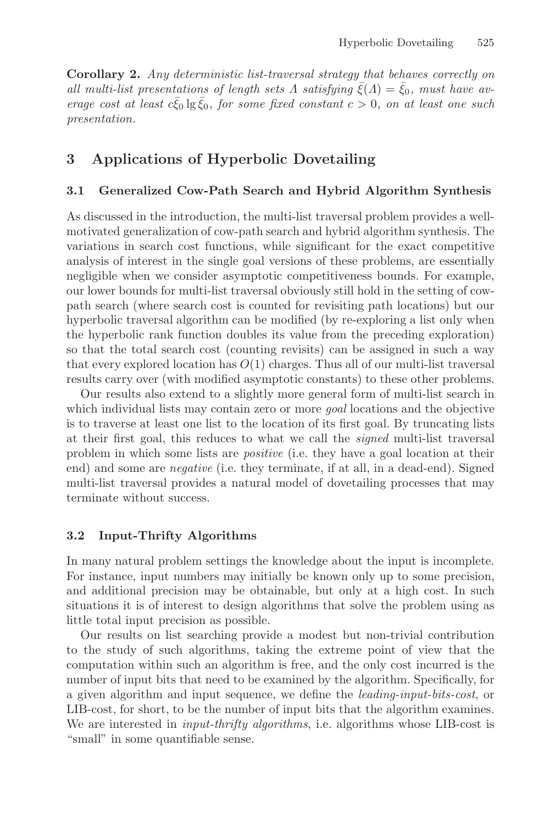**Corollary 2.** Any deterministic list-traversal strategy that behaves correctly on all multi-list presentations of length sets  $\Lambda$  satisfying  $\bar{\xi}(\Lambda) = \bar{\xi}_0$ , must have average cost at least  $c\bar{\xi}_0$  lg $\bar{\xi}_0$ , for some fixed constant  $c > 0$ , on at least one such presentation.

### **3 Applications of Hyperbolic Dovetailing**

#### **3.1 Generalized Cow-Path Search and Hybrid Algorithm Synthesis**

As discussed in the introduction, the multi-list traversal problem provides a wellmotivated generalization of cow-path search and hybrid algorithm synthesis. The variations in search cost functions, while significant for the exact competitive analysis of interest in the single goal versions of these problems, are essentially negligible when we consider asymptotic competitiveness bounds. For example, our lower bounds for multi-list traversal obviously still hold in the setting of cowpath search (where search cost is counted for revisiting path locations) but our hyperbolic traversal algorithm can be modified (by re-exploring a list only when the hyperbolic rank function doubles its value from the preceding exploration) so that the total search cost (counting revisits) can be assigned in such a way that every explored location has  $O(1)$  charges. Thus all of our multi-list traversal results carry over (with modified asymptotic constants) to these other problems.

Our results also extend to a slightly more general form of multi-list search in which individual lists may contain zero or more *goal* locations and the objective is to traverse at least one list to the location of its first goal. By truncating lists at their first goal, this reduces to what we call the signed multi-list traversal problem in which some lists are positive (i.e. they have a goal location at their end) and some are negative (i.e. they terminate, if at all, in a dead-end). Signed multi-list traversal provides a natural model of dovetailing processes that may terminate without success.

#### **3.2 Input-Thrifty Algorithms**

In many natural problem settings the knowledge about the input is incomplete. For instance, input numbers may initially be known only up to some precision, and additional precision may be obtainable, but only at a high cost. In such situations it is of interest to design algorithms that solve the problem using as little total input precision as possible.

Our results on list searching provide a modest but non-trivial contribution to the study of such algorithms, taking the extreme point of view that the computation within such an algorithm is free, and the only cost incurred is the number of input bits that need to be examined by the algorithm. Specifically, for a given algorithm and input sequence, we define the leading-input-bits-cost, or LIB-cost, for short, to be the number of input bits that the algorithm examines. We are interested in *input-thrifty algorithms*, i.e. algorithms whose LIB-cost is "small" in some quantifiable sense.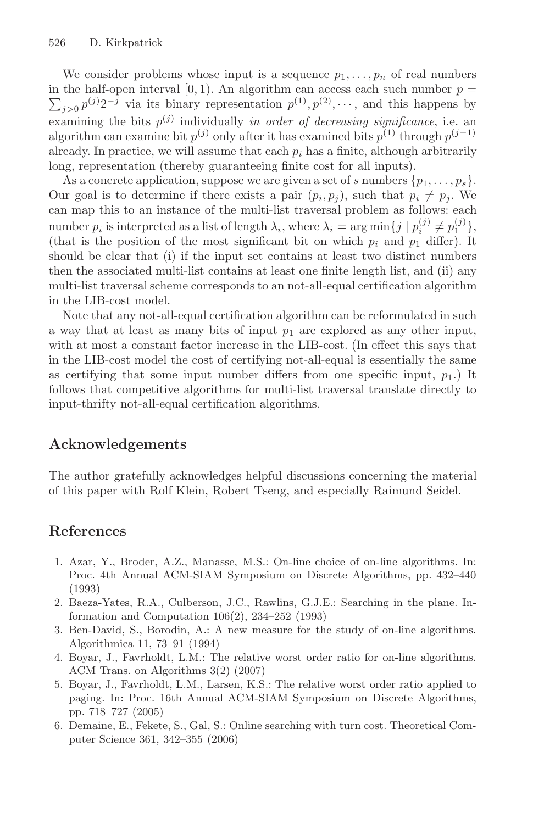We consider problems whose input is a sequence  $p_1, \ldots, p_n$  of real numbers in the half-open interval [0, 1]. An algorithm can access each such number  $p =$ in the half-open interval [0, 1). An algorithm can access each such number  $p = \sum_{j>0} p^{(j)} 2^{-j}$  via its binary representation  $p^{(1)}, p^{(2)}, \dots$ , and this happens by examining the bits  $p^{(j)}$  individually in order of decreasing significance, i.e. an algorithm can examine bit  $p^{(j)}$  only after it has examined bits  $p^{(1)}$  through  $p^{(j-1)}$ already. In practice, we will assume that each  $p_i$  has a finite, although arbitrarily long, representation (thereby guaranteeing finite cost for all inputs).

As a concrete application, suppose we are given a set of s numbers  $\{p_1,\ldots,p_s\}$ . Our goal is to determine if there exists a pair  $(p_i, p_j)$ , such that  $p_i \neq p_j$ . We can map this to an instance of the multi-list traversal problem as follows: each number  $p_i$  is interpreted as a list of length  $\lambda_i$ , where  $\lambda_i = \arg \min \{j \mid p_i^{(j)} \neq p_1^{(j)}\}$ (that is the position of the most significant bit on which  $p_i$  and  $p_1$  differ). It should be clear that (i) if the input set contains at least two distinct numbers then the associated multi-list contains at least one finite length list, and (ii) any multi-list traversal scheme corresponds to an not-all-equal certification algorithm in the LIB-cost model.

Note that any not-all-equal certification algorithm can be reformulated in such a way that at least as many bits of input  $p_1$  are explored as any other input, with at most a constant factor increase in the LIB-cost. (In effect this says that in the LIB-cost model the cost of certifying not-all-equal is essentially the same as certifying that some input number differs from one specific input,  $p_1$ .) It follows that competitive algorithms for multi-list traversal translate directly to input-thrifty not-all-equal certification algorithms.

## **Acknowledgements**

The author gratefully acknowledges helpful discussions concerning the material of this paper with Rolf Klein, Robert Tseng, and especially Raimund Seidel.

## **References**

- 1. Azar, Y., Broder, A.Z., Manasse, M.S.: On-line choice of on-line algorithms. In: Proc. 4th Annual ACM-SIAM Symposium on Discrete Algorithms, pp. 432–440 (1993)
- 2. Baeza-Yates, R.A., Culberson, J.C., Rawlins, G.J.E.: Searching in the plane. Information and Computation 106(2), 234–252 (1993)
- 3. Ben-David, S., Borodin, A.: A new measure for the study of on-line algorithms. Algorithmica 11, 73–91 (1994)
- 4. Boyar, J., Favrholdt, L.M.: The relative worst order ratio for on-line algorithms. ACM Trans. on Algorithms 3(2) (2007)
- 5. Boyar, J., Favrholdt, L.M., Larsen, K.S.: The relative worst order ratio applied to paging. In: Proc. 16th Annual ACM-SIAM Symposium on Discrete Algorithms, pp. 718–727 (2005)
- 6. Demaine, E., Fekete, S., Gal, S.: Online searching with turn cost. Theoretical Computer Science 361, 342–355 (2006)